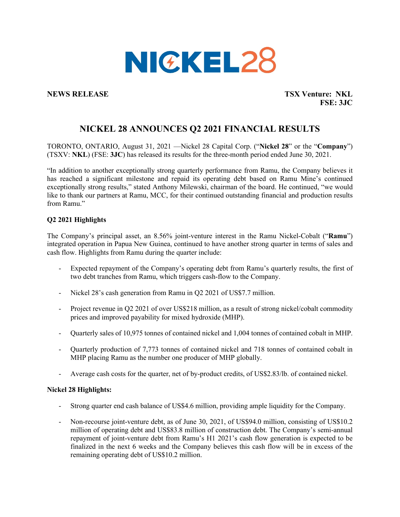

**NEWS RELEASE TSX Venture: NKL FSE: 3JC**

# **NICKEL 28 ANNOUNCES Q2 2021 FINANCIAL RESULTS**

TORONTO, ONTARIO, August 31, 2021 —Nickel 28 Capital Corp. ("**Nickel 28**" or the "**Company**") (TSXV: **NKL**) (FSE: **3JC**) has released its results for the three-month period ended June 30, 2021.

"In addition to another exceptionally strong quarterly performance from Ramu, the Company believes it has reached a significant milestone and repaid its operating debt based on Ramu Mine's continued exceptionally strong results," stated Anthony Milewski, chairman of the board. He continued, "we would like to thank our partners at Ramu, MCC, for their continued outstanding financial and production results from Ramu."

# **Q2 2021 Highlights**

The Company's principal asset, an 8.56% joint-venture interest in the Ramu Nickel-Cobalt ("**Ramu**") integrated operation in Papua New Guinea, continued to have another strong quarter in terms of sales and cash flow. Highlights from Ramu during the quarter include:

- Expected repayment of the Company's operating debt from Ramu's quarterly results, the first of two debt tranches from Ramu, which triggers cash-flow to the Company.
- Nickel 28's cash generation from Ramu in Q2 2021 of US\$7.7 million.
- Project revenue in Q2 2021 of over US\$218 million, as a result of strong nickel/cobalt commodity prices and improved payability for mixed hydroxide (MHP).
- Quarterly sales of 10,975 tonnes of contained nickel and 1,004 tonnes of contained cobalt in MHP.
- Quarterly production of 7,773 tonnes of contained nickel and 718 tonnes of contained cobalt in MHP placing Ramu as the number one producer of MHP globally.
- Average cash costs for the quarter, net of by-product credits, of US\$2.83/lb. of contained nickel.

# **Nickel 28 Highlights:**

- Strong quarter end cash balance of US\$4.6 million, providing ample liquidity for the Company.
- Non-recourse joint-venture debt, as of June 30, 2021, of US\$94.0 million, consisting of US\$10.2 million of operating debt and US\$83.8 million of construction debt. The Company's semi-annual repayment of joint-venture debt from Ramu's H1 2021's cash flow generation is expected to be finalized in the next 6 weeks and the Company believes this cash flow will be in excess of the remaining operating debt of US\$10.2 million.